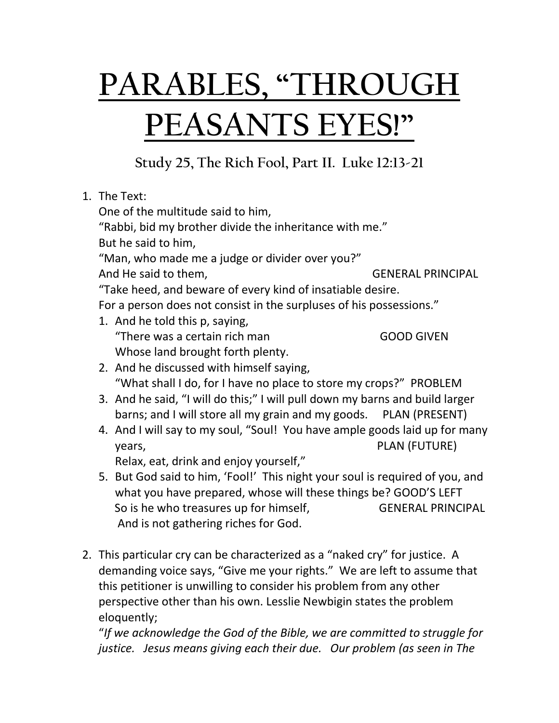## **PARABLES, "THROUGH PEASANTS EYES!"**

**Study 25, The Rich Fool, Part II. Luke 12:13-21**

|                                   | 1. The Text:                                                                   |                          |
|-----------------------------------|--------------------------------------------------------------------------------|--------------------------|
| One of the multitude said to him, |                                                                                |                          |
|                                   | "Rabbi, bid my brother divide the inheritance with me."<br>But he said to him, |                          |
|                                   |                                                                                |                          |
|                                   | "Man, who made me a judge or divider over you?"                                |                          |
|                                   | And He said to them,                                                           | <b>GENERAL PRINCIPAL</b> |
|                                   | "Take heed, and beware of every kind of insatiable desire.                     |                          |
|                                   | For a person does not consist in the surpluses of his possessions."            |                          |
|                                   | 1. And he told this p, saying,                                                 |                          |
|                                   | "There was a certain rich man                                                  | <b>GOOD GIVEN</b>        |
|                                   | Whose land brought forth plenty.                                               |                          |
|                                   | 2. And he discussed with himself saying,                                       |                          |
|                                   | "What shall I do, for I have no place to store my crops?" PROBLEM              |                          |
|                                   | 3. And he said, "I will do this;" I will pull down my barns and build larger   |                          |
|                                   | barns; and I will store all my grain and my goods. PLAN (PRESENT)              |                          |
|                                   | 4. And I will say to my soul, "Soul! You have ample goods laid up for many     |                          |
|                                   | years,                                                                         | PLAN (FUTURE)            |
|                                   | Relax, eat, drink and enjoy yourself,"                                         |                          |
|                                   | 5. But God said to him, 'Fool!' This night your soul is required of you, and   |                          |
|                                   | what you have prepared, whose will these things be? GOOD'S LEFT                |                          |
|                                   | So is he who treasures up for himself,                                         | <b>GENERAL PRINCIPAL</b> |
|                                   | And is not gathering riches for God.                                           |                          |
|                                   |                                                                                |                          |
|                                   | 2 This narticular cry can be characterized as a "naked cry" for justice A      |                          |

2. This particular cry can be characterized as a "naked cry" for justice. A demanding voice says, "Give me your rights." We are left to assume that this petitioner is unwilling to consider his problem from any other perspective other than his own. Lesslie Newbigin states the problem eloquently;

"*If we acknowledge the God of the Bible, we are committed to struggle for justice. Jesus means giving each their due. Our problem (as seen in The*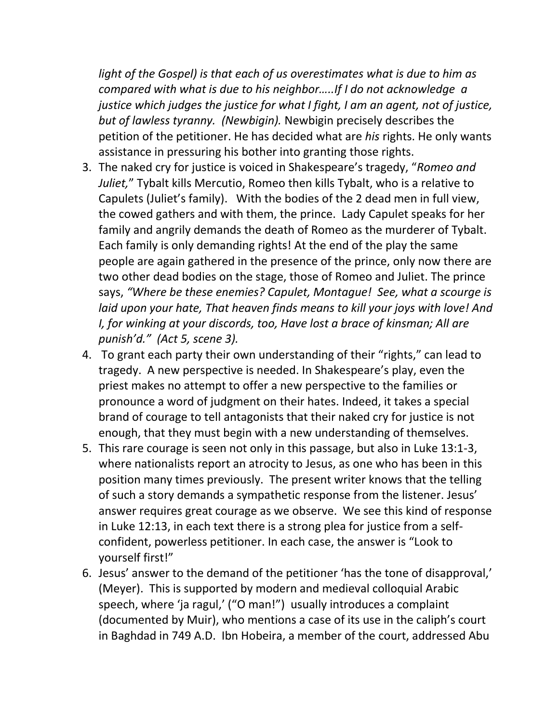*light of the Gospel) is that each of us overestimates what is due to him as compared with what is due to his neighbor…..If I do not acknowledge a justice which judges the justice for what I fight, I am an agent, not of justice, but of lawless tyranny. (Newbigin).* Newbigin precisely describes the petition of the petitioner. He has decided what are *his* rights. He only wants assistance in pressuring his bother into granting those rights.

- 3. The naked cry for justice is voiced in Shakespeare's tragedy, "*Romeo and Juliet,*" Tybalt kills Mercutio, Romeo then kills Tybalt, who is a relative to Capulets (Juliet's family). With the bodies of the 2 dead men in full view, the cowed gathers and with them, the prince. Lady Capulet speaks for her family and angrily demands the death of Romeo as the murderer of Tybalt. Each family is only demanding rights! At the end of the play the same people are again gathered in the presence of the prince, only now there are two other dead bodies on the stage, those of Romeo and Juliet. The prince says, *"Where be these enemies? Capulet, Montague! See, what a scourge is laid upon your hate, That heaven finds means to kill your joys with love! And I, for winking at your discords, too, Have lost a brace of kinsman; All are punish'd." (Act 5, scene 3).*
- 4. To grant each party their own understanding of their "rights," can lead to tragedy. A new perspective is needed. In Shakespeare's play, even the priest makes no attempt to offer a new perspective to the families or pronounce a word of judgment on their hates. Indeed, it takes a special brand of courage to tell antagonists that their naked cry for justice is not enough, that they must begin with a new understanding of themselves.
- 5. This rare courage is seen not only in this passage, but also in Luke 13:1-3, where nationalists report an atrocity to Jesus, as one who has been in this position many times previously. The present writer knows that the telling of such a story demands a sympathetic response from the listener. Jesus' answer requires great courage as we observe. We see this kind of response in Luke 12:13, in each text there is a strong plea for justice from a selfconfident, powerless petitioner. In each case, the answer is "Look to yourself first!"
- 6. Jesus' answer to the demand of the petitioner 'has the tone of disapproval,' (Meyer). This is supported by modern and medieval colloquial Arabic speech, where 'ja ragul,' ("O man!") usually introduces a complaint (documented by Muir), who mentions a case of its use in the caliph's court in Baghdad in 749 A.D. Ibn Hobeira, a member of the court, addressed Abu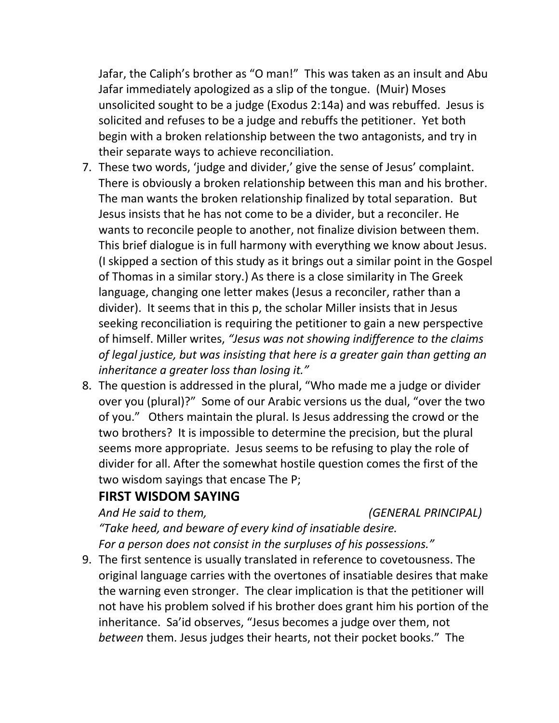Jafar, the Caliph's brother as "O man!" This was taken as an insult and Abu Jafar immediately apologized as a slip of the tongue. (Muir) Moses unsolicited sought to be a judge (Exodus 2:14a) and was rebuffed. Jesus is solicited and refuses to be a judge and rebuffs the petitioner. Yet both begin with a broken relationship between the two antagonists, and try in their separate ways to achieve reconciliation.

- 7. These two words, 'judge and divider,' give the sense of Jesus' complaint. There is obviously a broken relationship between this man and his brother. The man wants the broken relationship finalized by total separation. But Jesus insists that he has not come to be a divider, but a reconciler. He wants to reconcile people to another, not finalize division between them. This brief dialogue is in full harmony with everything we know about Jesus. (I skipped a section of this study as it brings out a similar point in the Gospel of Thomas in a similar story.) As there is a close similarity in The Greek language, changing one letter makes (Jesus a reconciler, rather than a divider). It seems that in this p, the scholar Miller insists that in Jesus seeking reconciliation is requiring the petitioner to gain a new perspective of himself. Miller writes, *"Jesus was not showing indifference to the claims of legal justice, but was insisting that here is a greater gain than getting an inheritance a greater loss than losing it."*
- 8. The question is addressed in the plural, "Who made me a judge or divider over you (plural)?" Some of our Arabic versions us the dual, "over the two of you." Others maintain the plural. Is Jesus addressing the crowd or the two brothers? It is impossible to determine the precision, but the plural seems more appropriate. Jesus seems to be refusing to play the role of divider for all. After the somewhat hostile question comes the first of the two wisdom sayings that encase The P;

## **FIRST WISDOM SAYING**

*And He said to them, (GENERAL PRINCIPAL)*

*"Take heed, and beware of every kind of insatiable desire. For a person does not consist in the surpluses of his possessions."*

9. The first sentence is usually translated in reference to covetousness. The original language carries with the overtones of insatiable desires that make the warning even stronger. The clear implication is that the petitioner will not have his problem solved if his brother does grant him his portion of the inheritance. Sa'id observes, "Jesus becomes a judge over them, not *between* them. Jesus judges their hearts, not their pocket books." The